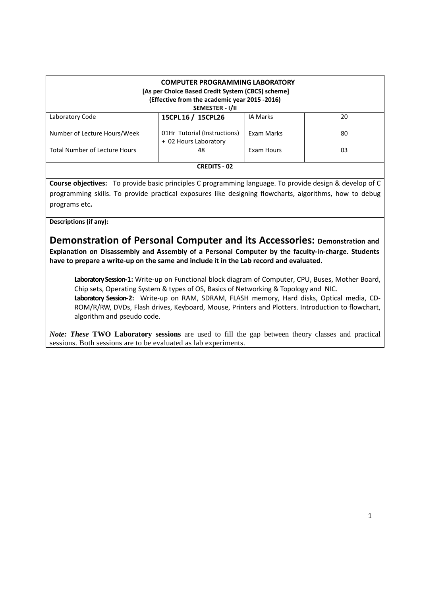| <b>COMPUTER PROGRAMMING LABORATORY</b><br>[As per Choice Based Credit System (CBCS) scheme]<br>(Effective from the academic year 2015 -2016)<br>SEMESTER - I/II |                                                       |                 |    |  |  |
|-----------------------------------------------------------------------------------------------------------------------------------------------------------------|-------------------------------------------------------|-----------------|----|--|--|
| Laboratory Code                                                                                                                                                 | 15CPL 16 / 15CPL26                                    | <b>IA Marks</b> | 20 |  |  |
| Number of Lecture Hours/Week                                                                                                                                    | 01Hr Tutorial (Instructions)<br>+ 02 Hours Laboratory | Exam Marks      | 80 |  |  |
| <b>Total Number of Lecture Hours</b>                                                                                                                            | 48                                                    | Exam Hours      | 03 |  |  |
| <b>CREDITS - 02</b>                                                                                                                                             |                                                       |                 |    |  |  |

**Course objectives:** To provide basic principles C programming language. To provide design & develop of C programming skills. To provide practical exposures like designing flowcharts, algorithms, how to debug programs etc**.** 

**Descriptions (if any):**

**Demonstration of Personal Computer and its Accessories: Demonstration and Explanation on Disassembly and Assembly of a Personal Computer by the faculty-in-charge. Students have to prepare a write-up on the same and include it in the Lab record and evaluated.** 

**Laboratory Session-1:** Write-up on Functional block diagram of Computer, CPU, Buses, Mother Board, Chip sets, Operating System & types of OS, Basics of Networking & Topology and NIC. **Laboratory Session-2:** Write-up on RAM, SDRAM, FLASH memory, Hard disks, Optical media, CD-ROM/R/RW, DVDs, Flash drives, Keyboard, Mouse, Printers and Plotters. Introduction to flowchart, algorithm and pseudo code.

*Note: These* **TWO Laboratory sessions** are used to fill the gap between theory classes and practical sessions. Both sessions are to be evaluated as lab experiments.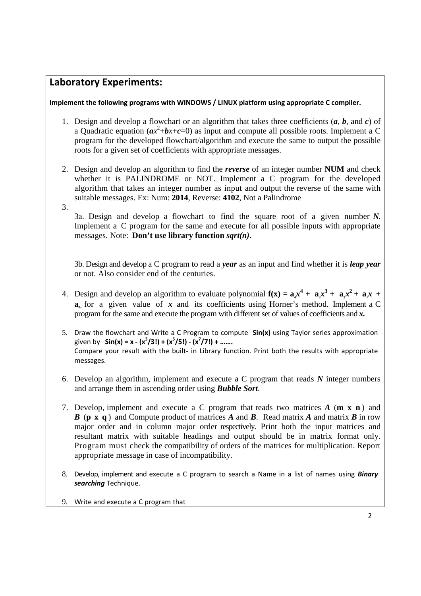## **Laboratory Experiments:**

**Implement the following programs with WINDOWS / LINUX platform using appropriate C compiler.** 

- 1. Design and develop a flowchart or an algorithm that takes three coefficients (*a*, *b*, and *c*) of a Quadratic equation  $(ax^2+bx+c=0)$  as input and compute all possible roots. Implement a C program for the developed flowchart/algorithm and execute the same to output the possible roots for a given set of coefficients with appropriate messages.
- 2. Design and develop an algorithm to find the *reverse* of an integer number **NUM** and check whether it is PALINDROME or NOT. Implement a C program for the developed algorithm that takes an integer number as input and output the reverse of the same with suitable messages. Ex: Num: **2014**, Reverse: **4102**, Not a Palindrome
- 3.

3a. Design and develop a flowchart to find the square root of a given number *N*. Implement a C program for the same and execute for all possible inputs with appropriate messages. Note: **Don't use library function** *sqrt(n)***.** 

3b. Design and develop a C program to read a *year* as an input and find whether it is *leap year* or not. Also consider end of the centuries.

- 4. Design and develop an algorithm to evaluate polynomial  $f(x) = a_x x^4 + a_y x^3 + a_z x^2 + a_x x + b_y$ **a**<sub> $a$ </sub> for a given value of x and its coefficients using Horner's method. Implement a C program for the same and execute the program with different set of values of coefficients and *x.*
- 5. Draw the flowchart and Write a C Program to compute **Sin(x)** using Taylor series approximation given by **Sin(x) = x - (x<sup>3</sup> /3!) + (x<sup>5</sup> /5!) - (x<sup>7</sup> /7!) + …….**  Compare your result with the built- in Library function. Print both the results with appropriate messages.
- 6. Develop an algorithm, implement and execute a C program that reads *N* integer numbers and arrange them in ascending order using *Bubble Sort*.
- 7. Develop, implement and execute a C program that reads two matrices *A* (**m x n** ) and *B* (**p x q** ) and Compute product of matrices *A* and *B*. Read matrix *A* and matrix *B* in row major order and in column major order respectively. Print both the input matrices and resultant matrix with suitable headings and output should be in matrix format only. Program must check the compatibility of orders of the matrices for multiplication. Report appropriate message in case of incompatibility.
- 8. Develop, implement and execute a C program to search a Name in a list of names using *Binary searching* Technique.
- 9. Write and execute a C program that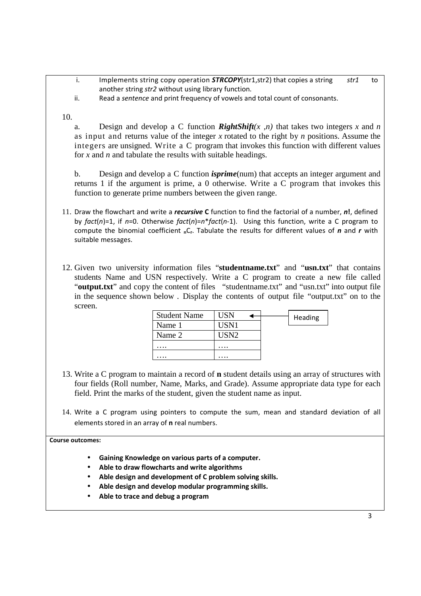- i. Implements string copy operation *STRCOPY*(str1,str2) that copies a string *str1* to another string *str2* without using library function.
- ii. Read a *sentence* and print frequency of vowels and total count of consonants.

10.

a. Design and develop a C function *RightShift*( $x, n$ ) that takes two integers  $x$  and  $n$ as input and returns value of the integer *x* rotated to the right by *n* positions. Assume the integers are unsigned. Write a C program that invokes this function with different values for *x* and *n* and tabulate the results with suitable headings.

b. Design and develop a C function *isprime*(num) that accepts an integer argument and returns 1 if the argument is prime, a 0 otherwise. Write a C program that invokes this function to generate prime numbers between the given range.

- 11. Draw the flowchart and write a *recursive* **C** function to find the factorial of a number, *n***!**, defined by *fact*(*n*)=1, if *n*=0. Otherwise *fact*(*n*)=*n*\**fact*(*n*-1). Using this function, write a C program to compute the binomial coefficient **n**C**<sup>r</sup>** . Tabulate the results for different values of *n* and *r* with suitable messages.
- 12. Given two university information files "**studentname.txt**" and "**usn.txt**" that contains students Name and USN respectively. Write a C program to create a new file called "**output.txt**" and copy the content of files "studentname.txt" and "usn.txt" into output file in the sequence shown below . Display the contents of output file "output.txt" on to the screen.

| <b>Student Name</b> | USN   |  | Heading |
|---------------------|-------|--|---------|
| Name 1              | USN1  |  |         |
| Name 2              | USN2. |  |         |
| .                   | .     |  |         |
|                     |       |  |         |

- 13. Write a C program to maintain a record of **n** student details using an array of structures with four fields (Roll number, Name, Marks, and Grade). Assume appropriate data type for each field. Print the marks of the student, given the student name as input.
- 14. Write a C program using pointers to compute the sum, mean and standard deviation of all elements stored in an array of **n** real numbers.

**Course outcomes:**

- **Gaining Knowledge on various parts of a computer.**
- **Able to draw flowcharts and write algorithms**
- **Able design and development of C problem solving skills.**
- **Able design and develop modular programming skills.**
- **Able to trace and debug a program**